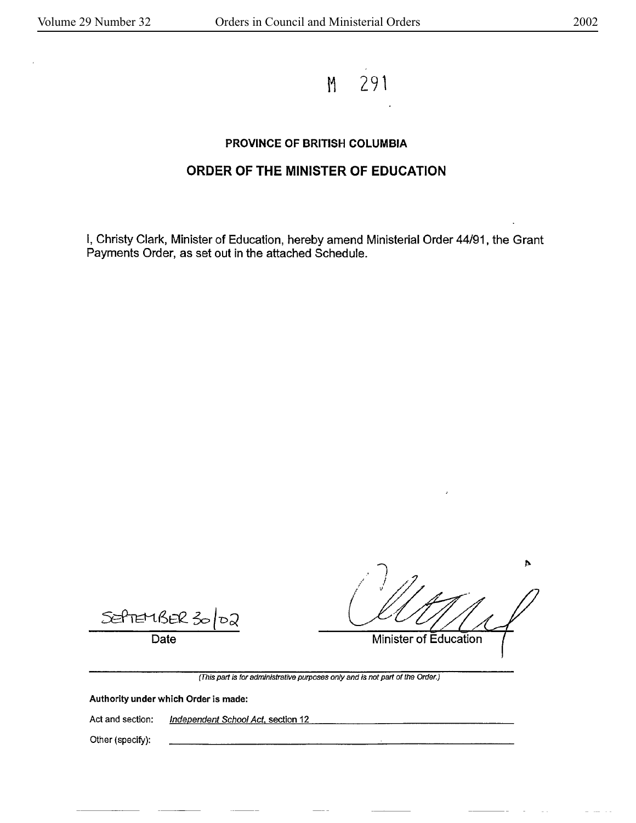M 291

## **PROVINCE OF BRITISH COLUMBIA**

## **ORDER OF THE MINISTER OF EDUCATION**

I, Christy Clark, Minister of Education, hereby amend Ministerial Order 44/91, the Grant Payments Order, as set out in the attached Schedule.

SefteriBER 3 තට

Date

**Minister of Education** 

(This part is for administrative purposes only and is not part of the Order.)

**Authority under which Order is made:** 

Act and section: Independent School Act, section 12

Other (specify):